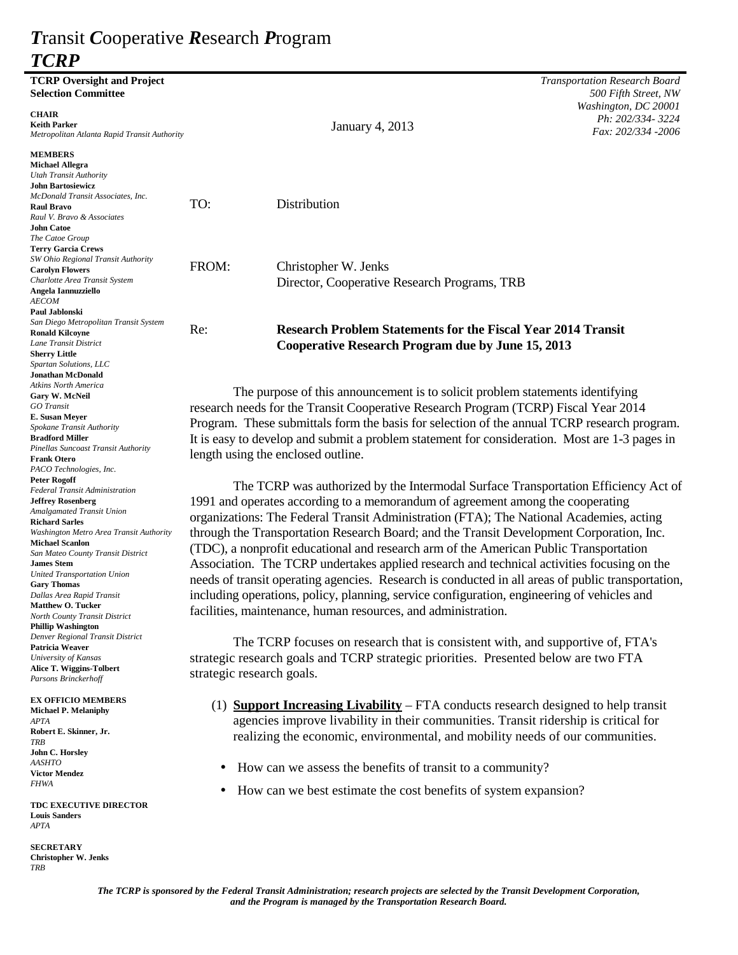# *T*ransit *C*ooperative *R*esearch *P*rogram *TCRP*

| <b>TCRP Oversight and Project</b><br><b>Selection Committee</b> |                                                                                                   |                                                                                           | <b>Transportation Research Board</b><br>500 Fifth Street, NW |
|-----------------------------------------------------------------|---------------------------------------------------------------------------------------------------|-------------------------------------------------------------------------------------------|--------------------------------------------------------------|
|                                                                 |                                                                                                   |                                                                                           | Washington, DC 20001                                         |
| <b>CHAIR</b><br><b>Keith Parker</b>                             |                                                                                                   |                                                                                           | Ph: 202/334-3224                                             |
| Metropolitan Atlanta Rapid Transit Authority                    |                                                                                                   | <b>January 4, 2013</b>                                                                    | Fax: 202/334 -2006                                           |
|                                                                 |                                                                                                   |                                                                                           |                                                              |
| <b>MEMBERS</b>                                                  |                                                                                                   |                                                                                           |                                                              |
| <b>Michael Allegra</b><br>Utah Transit Authority                |                                                                                                   |                                                                                           |                                                              |
| <b>John Bartosiewicz</b>                                        |                                                                                                   |                                                                                           |                                                              |
| McDonald Transit Associates, Inc.                               |                                                                                                   |                                                                                           |                                                              |
| <b>Raul Bravo</b>                                               | TO:                                                                                               | Distribution                                                                              |                                                              |
| Raul V. Bravo & Associates<br><b>John Catoe</b>                 |                                                                                                   |                                                                                           |                                                              |
| The Catoe Group                                                 |                                                                                                   |                                                                                           |                                                              |
| <b>Terry Garcia Crews</b>                                       |                                                                                                   |                                                                                           |                                                              |
| SW Ohio Regional Transit Authority                              | FROM:                                                                                             | Christopher W. Jenks                                                                      |                                                              |
| <b>Carolyn Flowers</b>                                          |                                                                                                   |                                                                                           |                                                              |
| Charlotte Area Transit System<br>Angela Iannuzziello            |                                                                                                   | Director, Cooperative Research Programs, TRB                                              |                                                              |
| <b>AECOM</b>                                                    |                                                                                                   |                                                                                           |                                                              |
| Paul Jablonski                                                  |                                                                                                   |                                                                                           |                                                              |
| San Diego Metropolitan Transit System                           | Re:                                                                                               | <b>Research Problem Statements for the Fiscal Year 2014 Transit</b>                       |                                                              |
| <b>Ronald Kilcoyne</b><br>Lane Transit District                 |                                                                                                   |                                                                                           |                                                              |
| <b>Sherry Little</b>                                            |                                                                                                   | <b>Cooperative Research Program due by June 15, 2013</b>                                  |                                                              |
| Spartan Solutions, LLC                                          |                                                                                                   |                                                                                           |                                                              |
| <b>Jonathan McDonald</b>                                        |                                                                                                   |                                                                                           |                                                              |
| Atkins North America                                            |                                                                                                   | The purpose of this announcement is to solicit problem statements identifying             |                                                              |
| Gary W. McNeil<br>GO Transit                                    | research needs for the Transit Cooperative Research Program (TCRP) Fiscal Year 2014               |                                                                                           |                                                              |
| E. Susan Meyer                                                  |                                                                                                   |                                                                                           |                                                              |
| Spokane Transit Authority                                       | Program. These submittals form the basis for selection of the annual TCRP research program.       |                                                                                           |                                                              |
| <b>Bradford Miller</b>                                          | It is easy to develop and submit a problem statement for consideration. Most are 1-3 pages in     |                                                                                           |                                                              |
| Pinellas Suncoast Transit Authority<br><b>Frank Otero</b>       | length using the enclosed outline.                                                                |                                                                                           |                                                              |
| PACO Technologies, Inc.                                         |                                                                                                   |                                                                                           |                                                              |
| <b>Peter Rogoff</b>                                             |                                                                                                   |                                                                                           |                                                              |
| <b>Federal Transit Administration</b>                           | The TCRP was authorized by the Intermodal Surface Transportation Efficiency Act of                |                                                                                           |                                                              |
| <b>Jeffrey Rosenberg</b><br>Amalgamated Transit Union           | 1991 and operates according to a memorandum of agreement among the cooperating                    |                                                                                           |                                                              |
| <b>Richard Sarles</b>                                           | organizations: The Federal Transit Administration (FTA); The National Academies, acting           |                                                                                           |                                                              |
| Washington Metro Area Transit Authority                         | through the Transportation Research Board; and the Transit Development Corporation, Inc.          |                                                                                           |                                                              |
| <b>Michael Scanlon</b>                                          | (TDC), a nonprofit educational and research arm of the American Public Transportation             |                                                                                           |                                                              |
| San Mateo County Transit District<br><b>James Stem</b>          | Association. The TCRP undertakes applied research and technical activities focusing on the        |                                                                                           |                                                              |
| <b>United Transportation Union</b>                              |                                                                                                   |                                                                                           |                                                              |
| <b>Gary Thomas</b>                                              | needs of transit operating agencies. Research is conducted in all areas of public transportation, |                                                                                           |                                                              |
| Dallas Area Rapid Transit                                       | including operations, policy, planning, service configuration, engineering of vehicles and        |                                                                                           |                                                              |
| <b>Matthew O. Tucker</b><br>North County Transit District       |                                                                                                   | facilities, maintenance, human resources, and administration.                             |                                                              |
| <b>Phillip Washington</b>                                       |                                                                                                   |                                                                                           |                                                              |
| Denver Regional Transit District                                |                                                                                                   |                                                                                           |                                                              |
| Patricia Weaver                                                 |                                                                                                   | The TCRP focuses on research that is consistent with, and supportive of, FTA's            |                                                              |
| University of Kansas<br>Alice T. Wiggins-Tolbert                | strategic research goals and TCRP strategic priorities. Presented below are two FTA               |                                                                                           |                                                              |
| Parsons Brinckerhoff                                            | strategic research goals.                                                                         |                                                                                           |                                                              |
|                                                                 |                                                                                                   |                                                                                           |                                                              |
| <b>EX OFFICIO MEMBERS</b>                                       |                                                                                                   | (1) <b>Support Increasing Livability</b> – FTA conducts research designed to help transit |                                                              |
| <b>Michael P. Melaniphy</b><br>APTA                             |                                                                                                   | agencies improve livability in their communities. Transit ridership is critical for       |                                                              |
| Robert E. Skinner, Jr.                                          |                                                                                                   |                                                                                           |                                                              |
| TRB                                                             |                                                                                                   | realizing the economic, environmental, and mobility needs of our communities.             |                                                              |
| <b>John C. Horsley</b>                                          |                                                                                                   |                                                                                           |                                                              |
| <b>AASHTO</b>                                                   |                                                                                                   | How can we assess the benefits of transit to a community?                                 |                                                              |
| <b>Victor Mendez</b><br><i>FHWA</i>                             |                                                                                                   |                                                                                           |                                                              |
|                                                                 | $\bullet$                                                                                         | How can we best estimate the cost benefits of system expansion?                           |                                                              |
| <b>TDC EXECUTIVE DIRECTOR</b>                                   |                                                                                                   |                                                                                           |                                                              |
| <b>Louis Sanders</b>                                            |                                                                                                   |                                                                                           |                                                              |
| APTA                                                            |                                                                                                   |                                                                                           |                                                              |
| <b>SECRETARY</b>                                                |                                                                                                   |                                                                                           |                                                              |
| <b>Christopher W. Jenks</b>                                     |                                                                                                   |                                                                                           |                                                              |
| <b>TRB</b>                                                      |                                                                                                   |                                                                                           |                                                              |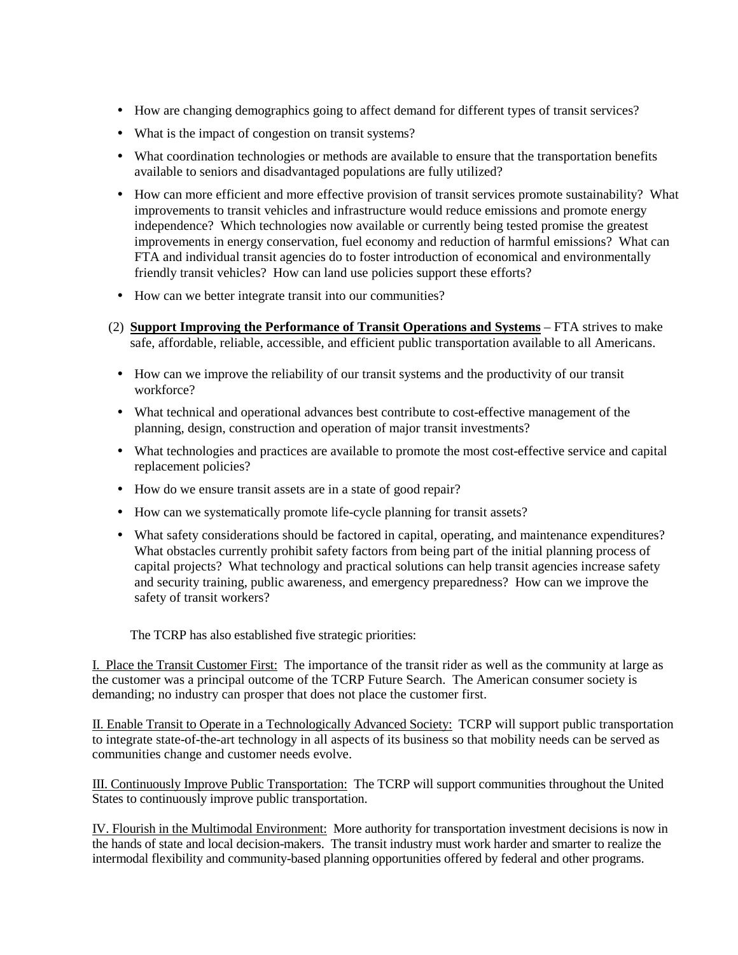- How are changing demographics going to affect demand for different types of transit services?
- What is the impact of congestion on transit systems?
- What coordination technologies or methods are available to ensure that the transportation benefits available to seniors and disadvantaged populations are fully utilized?
- How can more efficient and more effective provision of transit services promote sustainability? What improvements to transit vehicles and infrastructure would reduce emissions and promote energy independence? Which technologies now available or currently being tested promise the greatest improvements in energy conservation, fuel economy and reduction of harmful emissions? What can FTA and individual transit agencies do to foster introduction of economical and environmentally friendly transit vehicles? How can land use policies support these efforts?
- How can we better integrate transit into our communities?
- (2) **Support Improving the Performance of Transit Operations and Systems** FTA strives to make safe, affordable, reliable, accessible, and efficient public transportation available to all Americans.
	- How can we improve the reliability of our transit systems and the productivity of our transit workforce?
	- What technical and operational advances best contribute to cost-effective management of the planning, design, construction and operation of major transit investments?
	- What technologies and practices are available to promote the most cost-effective service and capital replacement policies?
	- How do we ensure transit assets are in a state of good repair?
	- How can we systematically promote life-cycle planning for transit assets?
	- What safety considerations should be factored in capital, operating, and maintenance expenditures? What obstacles currently prohibit safety factors from being part of the initial planning process of capital projects? What technology and practical solutions can help transit agencies increase safety and security training, public awareness, and emergency preparedness? How can we improve the safety of transit workers?

The TCRP has also established five strategic priorities:

I. Place the Transit Customer First: The importance of the transit rider as well as the community at large as the customer was a principal outcome of the TCRP Future Search. The American consumer society is demanding; no industry can prosper that does not place the customer first.

II. Enable Transit to Operate in a Technologically Advanced Society: TCRP will support public transportation to integrate state-of-the-art technology in all aspects of its business so that mobility needs can be served as communities change and customer needs evolve.

III. Continuously Improve Public Transportation: The TCRP will support communities throughout the United States to continuously improve public transportation.

IV. Flourish in the Multimodal Environment: More authority for transportation investment decisions is now in the hands of state and local decision-makers. The transit industry must work harder and smarter to realize the intermodal flexibility and community-based planning opportunities offered by federal and other programs.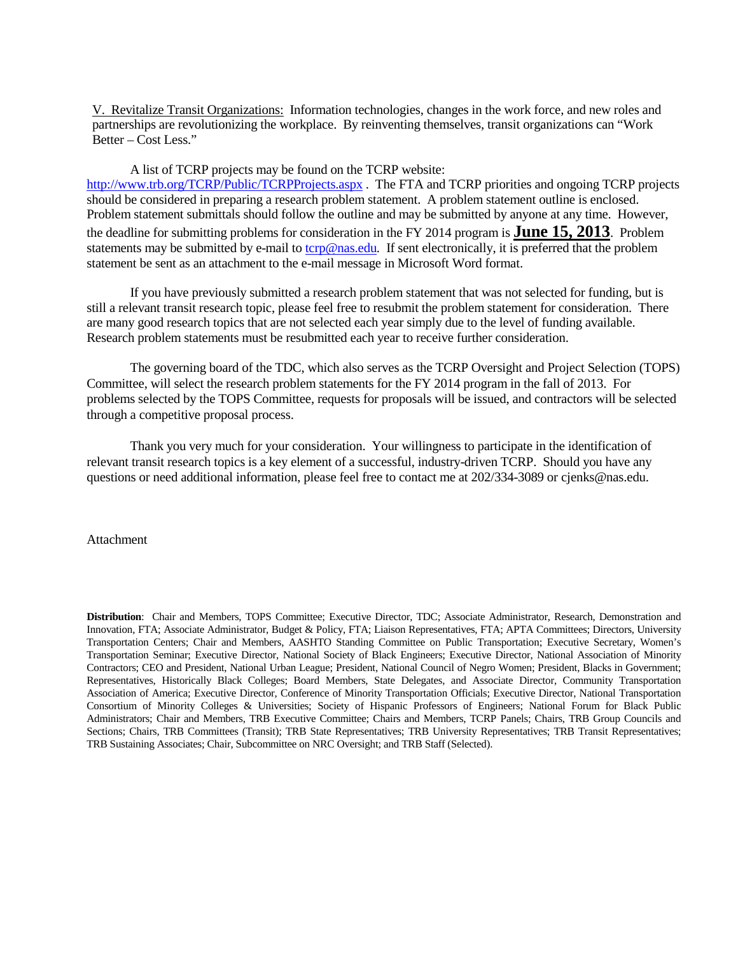V. Revitalize Transit Organizations: Information technologies, changes in the work force, and new roles and partnerships are revolutionizing the workplace. By reinventing themselves, transit organizations can "Work Better – Cost Less."

A list of TCRP projects may be found on the TCRP website: <http://www.trb.org/TCRP/Public/TCRPProjects.aspx> . The FTA and TCRP priorities and ongoing TCRP projects should be considered in preparing a research problem statement. A problem statement outline is enclosed. Problem statement submittals should follow the outline and may be submitted by anyone at any time. However, the deadline for submitting problems for consideration in the FY 2014 program is **June 15, 2013**. Problem statements may be submitted by e-mail to [tcrp@nas.edu](mailto:tcrp@nas.edu)*.* If sent electronically, it is preferred that the problem statement be sent as an attachment to the e-mail message in Microsoft Word format.

If you have previously submitted a research problem statement that was not selected for funding, but is still a relevant transit research topic, please feel free to resubmit the problem statement for consideration. There are many good research topics that are not selected each year simply due to the level of funding available. Research problem statements must be resubmitted each year to receive further consideration.

The governing board of the TDC, which also serves as the TCRP Oversight and Project Selection (TOPS) Committee, will select the research problem statements for the FY 2014 program in the fall of 2013. For problems selected by the TOPS Committee, requests for proposals will be issued, and contractors will be selected through a competitive proposal process.

Thank you very much for your consideration. Your willingness to participate in the identification of relevant transit research topics is a key element of a successful, industry-driven TCRP. Should you have any questions or need additional information, please feel free to contact me at 202/334-3089 or cjenks@nas.edu.

# Attachment

**Distribution**: Chair and Members, TOPS Committee; Executive Director, TDC; Associate Administrator, Research, Demonstration and Innovation, FTA; Associate Administrator, Budget & Policy, FTA; Liaison Representatives, FTA; APTA Committees; Directors, University Transportation Centers; Chair and Members, AASHTO Standing Committee on Public Transportation; Executive Secretary, Women's Transportation Seminar; Executive Director, National Society of Black Engineers; Executive Director, National Association of Minority Contractors; CEO and President, National Urban League; President, National Council of Negro Women; President, Blacks in Government; Representatives, Historically Black Colleges; Board Members, State Delegates, and Associate Director, Community Transportation Association of America; Executive Director, Conference of Minority Transportation Officials; Executive Director, National Transportation Consortium of Minority Colleges & Universities; Society of Hispanic Professors of Engineers; National Forum for Black Public Administrators; Chair and Members, TRB Executive Committee; Chairs and Members, TCRP Panels; Chairs, TRB Group Councils and Sections; Chairs, TRB Committees (Transit); TRB State Representatives; TRB University Representatives; TRB Transit Representatives; TRB Sustaining Associates; Chair, Subcommittee on NRC Oversight; and TRB Staff (Selected).